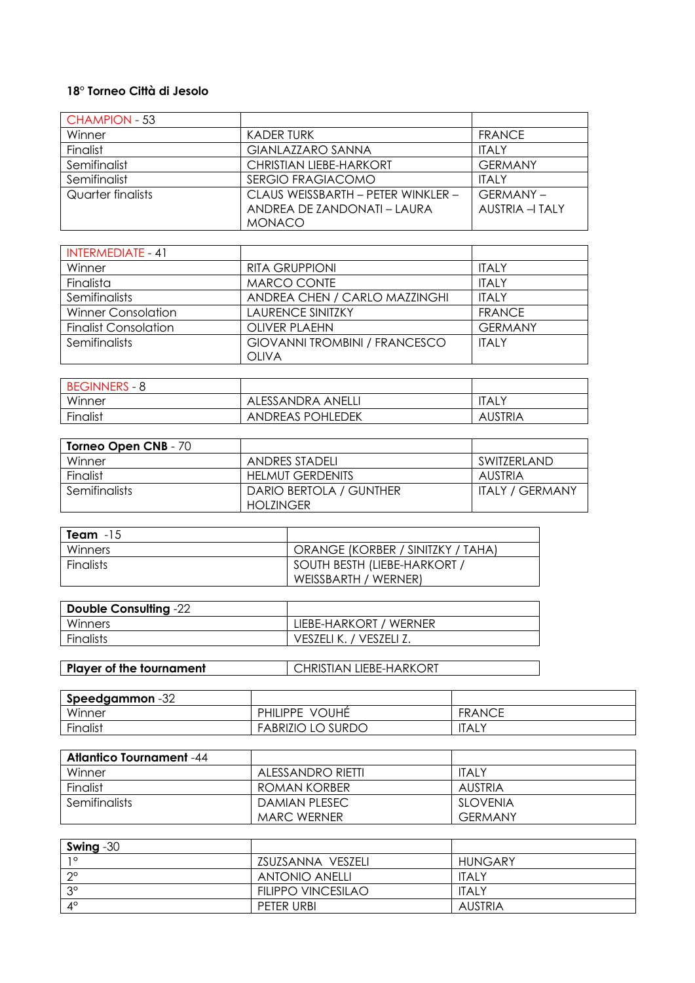## **18° Torneo Città di Jesolo**

| <b>CHAMPION - 53</b> |                                    |                 |
|----------------------|------------------------------------|-----------------|
| Winner               | KADER TURK                         | <b>FRANCE</b>   |
| Finalist             | <b>GIANLAZZARO SANNA</b>           | <b>ITALY</b>    |
| Semifinalist         | <b>CHRISTIAN LIEBE-HARKORT</b>     | <b>GFRMANY</b>  |
| Semifinalist         | <b>SERGIO FRAGIACOMO</b>           | <b>ITALY</b>    |
| Quarter finalists    | CLAUS WEISSBARTH - PETER WINKLER - | <b>GERMANY-</b> |
|                      | ANDREA DE 7ANDONATI – I AURA       | AUSTRIA - TALY  |
|                      | <b>MONACO</b>                      |                 |

| <b>INTERMEDIATE - 41</b>    |                                      |                |
|-----------------------------|--------------------------------------|----------------|
| Winner                      | RITA GRUPPIONI                       | <b>ITALY</b>   |
| Finalista                   | MARCO CONTE                          | <b>ITALY</b>   |
| Semifinalists               | ANDREA CHEN / CARLO MAZZINGHI        | ITALY          |
| <b>Winner Consolation</b>   | <b>LAURENCE SINITZKY</b>             | <b>FRANCE</b>  |
| <b>Finalist Consolation</b> | OLIVER PLAFHN                        | <b>GFRMANY</b> |
| Semifinalists               | <b>GIOVANNI TROMBINI / FRANCESCO</b> | <b>ITAIY</b>   |
|                             | <b>OLIVA</b>                         |                |

| <b>BEGINNERS - 8</b> |                         |              |
|----------------------|-------------------------|--------------|
| Winner               | ALESSANDRA ANELL.       | <b>ITALY</b> |
| Finalist             | <b>ANDREAS POHLEDEK</b> | AUSTRIA      |

| <b>Torneo Open CNB - 70</b> |                         |                        |
|-----------------------------|-------------------------|------------------------|
| Winner                      | ANDRES STADELI          | SWITZERLAND            |
| Finalist                    | <b>HELMUT GERDENITS</b> | AUSTRIA                |
| <b>Semifinalists</b>        | DARIO BERTOLA / GUNTHER | <b>ITALY / GERMANY</b> |
|                             | <b>HOLZINGER</b>        |                        |

| Team $-15$   |                                     |
|--------------|-------------------------------------|
| Winners      | ORANGE (KORBER / SINITZKY / TAHA)   |
| l Finalists. | <b>SOUTH BESTH (LIEBE-HARKORT /</b> |
|              | WEISSBARTH / WERNER)                |

| Double Consulting -22 |                         |
|-----------------------|-------------------------|
| Winners               | LIEBE-HARKORT / WERNER  |
| Finalists             | VESZELI K. / VESZELI Z. |
|                       |                         |

| <b>Player of the tournament</b> | <b>CHRISTIAN LIEBE-HARKORT</b> |
|---------------------------------|--------------------------------|
|---------------------------------|--------------------------------|

| <b>Speedgammon</b> -32 |                          |               |
|------------------------|--------------------------|---------------|
| Winner                 | <b>VOUHE</b><br>PHILIPPE | <b>FRANCE</b> |
| Finalist               | <b>FABRIZIO LO SURDO</b> | <b>ITALY</b>  |

| <b>Atlantico Tournament</b> -44 |                   |                |
|---------------------------------|-------------------|----------------|
| Winner                          | ALESSANDRO RIETTI | <b>ITALY</b>   |
| Finalist                        | ROMAN KORBER      | AUSTRIA        |
| <b>Semifinalists</b>            | DAMIAN PLESEC     | SLOVENIA       |
|                                 | MARC WERNER       | <b>GFRMANY</b> |

| Swing $-30$ |                           |              |
|-------------|---------------------------|--------------|
| 10          | ZSUZSANNA VESZELI         | HUNGARY      |
| റ൦          | ANTONIO ANELLI            | <b>ITALY</b> |
| $3^{\circ}$ | <b>FILIPPO VINCESILAO</b> | <b>ITALY</b> |
| $4^\circ$   | PETER URBI                | AUSTRIA      |